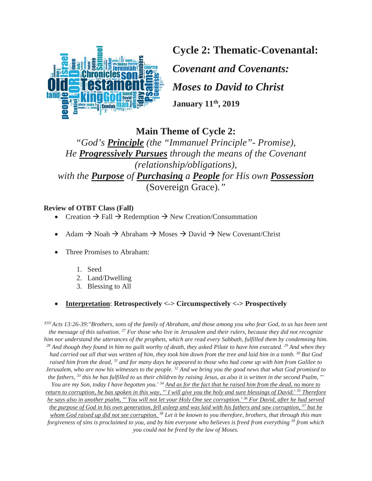

**Cycle 2: Thematic-Covenantal:**

*Covenant and Covenants: Moses to David to Christ* **January 11th, 2019**

**Main Theme of Cycle 2:** 

*"God's Principle (the "Immanuel Principle"- Promise), He Progressively Pursues through the means of the Covenant (relationship/obligations), with the Purpose of Purchasing a People for His own Possession* (Sovereign Grace)*."*

## **Review of OTBT Class (Fall)**

- Creation  $\rightarrow$  Fall  $\rightarrow$  Redemption  $\rightarrow$  New Creation/Consummation
- Adam  $\rightarrow$  Noah  $\rightarrow$  Abraham  $\rightarrow$  Moses  $\rightarrow$  David  $\rightarrow$  New Covenant/Christ
- Three Promises to Abraham:
	- 1. Seed
	- 2. Land/Dwelling
	- 3. Blessing to All

# • **Interpretation**: **Retrospectively <-> Circumspectively <-> Prospectively**

*ESV Acts 13:26-39:"Brothers, sons of the family of Abraham, and those among you who fear God, to us has been sent the message of this salvation. 27 For those who live in Jerusalem and their rulers, because they did not recognize*  him nor understand the utterances of the prophets, which are read every Sabbath, fulfilled them by condemning him.<br><sup>28</sup> And though they found in him no guilt worthy of death, they asked Pilate to have him executed. <sup>29</sup> A *had carried out all that was written of him, they took him down from the tree and laid him in a tomb. 30 But God raised him from the dead, 31 and for many days he appeared to those who had come up with him from Galilee to Jerusalem, who are now his witnesses to the people. 32 And we bring you the good news that what God promised to the fathers, 33 this he has fulfilled to us their children by raising Jesus, as also it is written in the second Psalm, "' You are my Son, today I have begotten you.' 34 And as for the fact that he raised him from the dead, no more to return to corruption, he has spoken in this way, "' I will give you the holy and sure blessings of David.' 35 Therefore he says also in another psalm, "' You will not let your Holy One see corruption.' 36 For David, after he had served the purpose of God in his own generation, fell asleep and was laid with his fathers and saw corruption, 37 but he whom God raised up did not see corruption. 38 Let it be known to you therefore, brothers, that through this man forgiveness of sins is proclaimed to you, and by him everyone who believes is freed from everything 39 from which you could not be freed by the law of Moses.*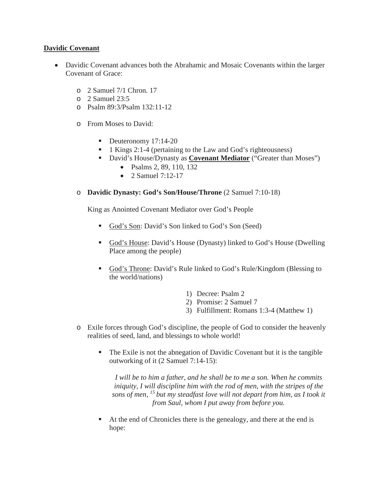### **Davidic Covenant**

- Davidic Covenant advances both the Abrahamic and Mosaic Covenants within the larger Covenant of Grace:
	- o 2 Samuel 7/1 Chron. 17
	- $\circ$  2 Samuel 23:5
	- o Psalm 89:3/Psalm 132:11-12
	- o From Moses to David:
		- Deuteronomy 17:14-20
		- 1 Kings 2:1-4 (pertaining to the Law and God's righteousness)
		- David's House/Dynasty as **Covenant Mediator** ("Greater than Moses")
			- Psalms 2, 89, 110, 132
			- 2. Samuel  $7:12-17$

#### o **Davidic Dynasty: God's Son/House/Throne** (2 Samuel 7:10-18)

King as Anointed Covenant Mediator over God's People

- God's Son: David's Son linked to God's Son (Seed)
- God's House: David's House (Dynasty) linked to God's House (Dwelling Place among the people)
- God's Throne: David's Rule linked to God's Rule/Kingdom (Blessing to the world/nations)
	- 1) Decree: Psalm 2
	- 2) Promise: 2 Samuel 7
	- 3) Fulfillment: Romans 1:3-4 (Matthew 1)
- o Exile forces through God's discipline, the people of God to consider the heavenly realities of seed, land, and blessings to whole world!
	- The Exile is not the abnegation of Davidic Covenant but it is the tangible outworking of it (2 Samuel 7:14-15):

*I will be to him a father, and he shall be to me a son. When he commits iniquity, I will discipline him with the rod of men, with the stripes of the sons of men, 15 but my steadfast love will not depart from him, as I took it from Saul, whom I put away from before you.*

 At the end of Chronicles there is the genealogy, and there at the end is hope: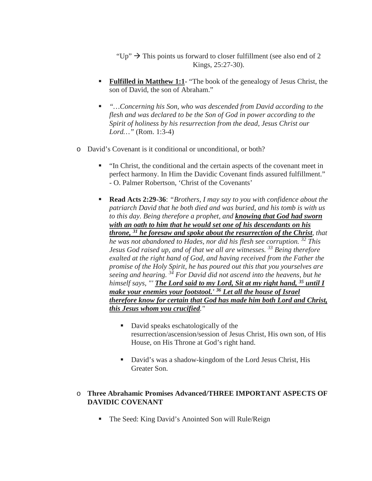"Up"  $\rightarrow$  This points us forward to closer fulfillment (see also end of 2 Kings, 25:27-30).

- **Fulfilled in Matthew 1:1-** "The book of the genealogy of Jesus Christ, the son of David, the son of Abraham."
- "…Concerning his Son, who was descended from David according to the *flesh and was declared to be the Son of God in power according to the Spirit of holiness by his resurrection from the dead, Jesus Christ our Lord…"* (Rom. 1:3-4)
- o David's Covenant is it conditional or unconditional, or both?
	- "In Christ, the conditional and the certain aspects of the covenant meet in perfect harmony. In Him the Davidic Covenant finds assured fulfillment." - O. Palmer Robertson, 'Christ of the Covenants'
	- **Read Acts 2:29-36**: *"Brothers, I may say to you with confidence about the patriarch David that he both died and was buried, and his tomb is with us to this day. Being therefore a prophet, and knowing that God had sworn with an oath to him that he would set one of his descendants on his throne, 31 he foresaw and spoke about the resurrection of the Christ, that he was not abandoned to Hades, nor did his flesh see corruption. 32 This Jesus God raised up, and of that we all are witnesses. <sup>33</sup> Being therefore exalted at the right hand of God, and having received from the Father the promise of the Holy Spirit, he has poured out this that you yourselves are seeing and hearing. 34 For David did not ascend into the heavens, but he himself says, "' The Lord said to my Lord, Sit at my right hand, 35 until I make your enemies your footstool.' 36 Let all the house of Israel therefore know for certain that God has made him both Lord and Christ, this Jesus whom you crucified."*
		- David speaks eschatologically of the resurrection/ascension/session of Jesus Christ, His own son, of His House, on His Throne at God's right hand.
		- David's was a shadow-kingdom of the Lord Jesus Christ, His Greater Son.

### o **Three Abrahamic Promises Advanced/THREE IMPORTANT ASPECTS OF DAVIDIC COVENANT**

The Seed: King David's Anointed Son will Rule/Reign